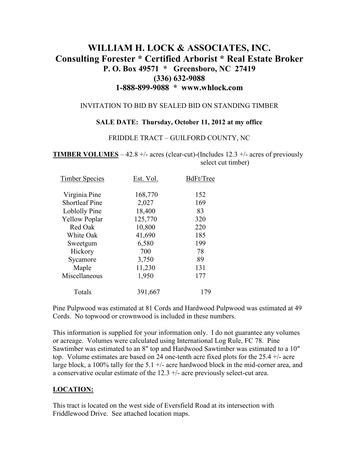# **WILLIAM H. LOCK & ASSOCIATES, INC. Consulting Forester \* Certified Arborist \* Real Estate Broker P. O. Box 49571 \* Greensboro, NC 27419 (336) 632-9088 1-888-899-9088 \* www.whlock.com**

#### INVITATION TO BID BY SEALED BID ON STANDING TIMBER

#### **SALE DATE: Thursday, October 11, 2012 at my office**

#### FRIDDLE TRACT – GUILFORD COUNTY, NC

**TIMBER VOLUMES** – 42.8 +/- acres (clear-cut)-(Includes 12.3 +/- acres of previously select cut timber)

| <b>Timber Species</b> | Est. Vol. | BdFt/Tree |
|-----------------------|-----------|-----------|
| Virginia Pine         | 168,770   | 152       |
| <b>Shortleaf Pine</b> | 2,027     | 169       |
| Loblolly Pine         | 18,400    | 83        |
| <b>Yellow Poplar</b>  | 125,770   | 320       |
| Red Oak               | 10,800    | 220       |
| White Oak             | 41,690    | 185       |
| Sweetgum              | 6,580     | 199       |
| Hickory               | 700       | 78        |
| Sycamore              | 3,750     | 89        |
| Maple                 | 11,230    | 131       |
| Miscellaneous         | 1,950     | 177       |
| Totals                | 391,667   | 179       |

Pine Pulpwood was estimated at 81 Cords and Hardwood Pulpwood was estimated at 49 Cords. No topwood or crownwood is included in these numbers.

This information is supplied for your information only. I do not guarantee any volumes or acreage. Volumes were calculated using International Log Rule, FC 78. Pine Sawtimber was estimated to an 8" top and Hardwood Sawtimber was estimated to a 10" top. Volume estimates are based on 24 one-tenth acre fixed plots for the 25.4 +/- acre large block, a 100% tally for the 5.1 +/- acre hardwood block in the mid-corner area, and a conservative ocular estimate of the  $12.3 +/-$  acre previously select-cut area.

#### **LOCATION:**

This tract is located on the west side of Eversfield Road at its intersection with Friddlewood Drive. See attached location maps.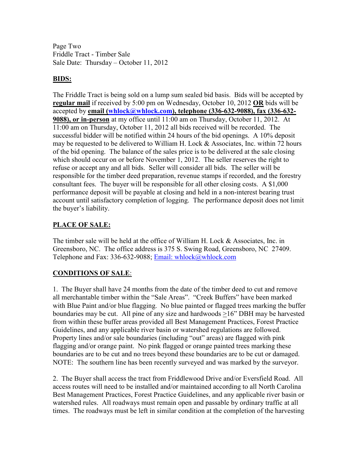Page Two Friddle Tract - Timber Sale Sale Date: Thursday – October 11, 2012

### **BIDS:**

The Friddle Tract is being sold on a lump sum sealed bid basis. Bids will be accepted by **regular mail** if received by 5:00 pm on Wednesday, October 10, 2012 **OR** bids will be accepted by **email (whlock@whlock.com), telephone (336-632-9088), fax (336-632- 9088), or in-person** at my office until 11:00 am on Thursday, October 11, 2012. At 11:00 am on Thursday, October 11, 2012 all bids received will be recorded. The successful bidder will be notified within 24 hours of the bid openings. A 10% deposit may be requested to be delivered to William H. Lock & Associates, Inc. within 72 hours of the bid opening. The balance of the sales price is to be delivered at the sale closing which should occur on or before November 1, 2012. The seller reserves the right to refuse or accept any and all bids. Seller will consider all bids. The seller will be responsible for the timber deed preparation, revenue stamps if recorded, and the forestry consultant fees. The buyer will be responsible for all other closing costs. A \$1,000 performance deposit will be payable at closing and held in a non-interest bearing trust account until satisfactory completion of logging. The performance deposit does not limit the buyer's liability.

## **PLACE OF SALE:**

The timber sale will be held at the office of William H. Lock & Associates, Inc. in Greensboro, NC. The office address is 375 S. Swing Road, Greensboro, NC 27409. Telephone and Fax: 336-632-9088; Email: whlock@whlock.com

### **CONDITIONS OF SALE**:

1. The Buyer shall have 24 months from the date of the timber deed to cut and remove all merchantable timber within the "Sale Areas". "Creek Buffers" have been marked with Blue Paint and/or blue flagging. No blue painted or flagged trees marking the buffer boundaries may be cut. All pine of any size and hardwoods >16" DBH may be harvested from within these buffer areas provided all Best Management Practices, Forest Practice Guidelines, and any applicable river basin or watershed regulations are followed. Property lines and/or sale boundaries (including "out" areas) are flagged with pink flagging and/or orange paint. No pink flagged or orange painted trees marking these boundaries are to be cut and no trees beyond these boundaries are to be cut or damaged. NOTE: The southern line has been recently surveyed and was marked by the surveyor.

2. The Buyer shall access the tract from Friddlewood Drive and/or Eversfield Road. All access routes will need to be installed and/or maintained according to all North Carolina Best Management Practices, Forest Practice Guidelines, and any applicable river basin or watershed rules. All roadways must remain open and passable by ordinary traffic at all times. The roadways must be left in similar condition at the completion of the harvesting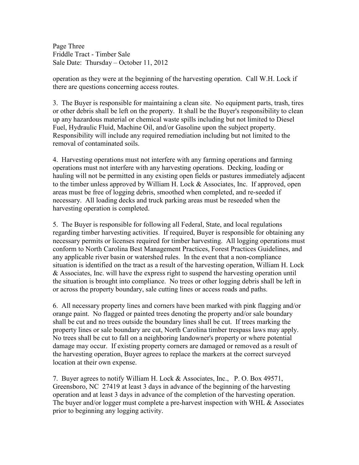Page Three Friddle Tract - Timber Sale Sale Date: Thursday – October 11, 2012

operation as they were at the beginning of the harvesting operation. Call W.H. Lock if there are questions concerning access routes.

3. The Buyer is responsible for maintaining a clean site. No equipment parts, trash, tires or other debris shall be left on the property. It shall be the Buyer's responsibility to clean up any hazardous material or chemical waste spills including but not limited to Diesel Fuel, Hydraulic Fluid, Machine Oil, and/or Gasoline upon the subject property. Responsibility will include any required remediation including but not limited to the removal of contaminated soils.

4. Harvesting operations must not interfere with any farming operations and farming operations must not interfere with any harvesting operations. Decking, loading or hauling will not be permitted in any existing open fields or pastures immediately adjacent to the timber unless approved by William H. Lock & Associates, Inc. If approved, open areas must be free of logging debris, smoothed when completed, and re-seeded if necessary. All loading decks and truck parking areas must be reseeded when the harvesting operation is completed.

5. The Buyer is responsible for following all Federal, State, and local regulations regarding timber harvesting activities. If required, Buyer is responsible for obtaining any necessary permits or licenses required for timber harvesting. All logging operations must conform to North Carolina Best Management Practices, Forest Practices Guidelines, and any applicable river basin or watershed rules. In the event that a non-compliance situation is identified on the tract as a result of the harvesting operation, William H. Lock & Associates, Inc. will have the express right to suspend the harvesting operation until the situation is brought into compliance. No trees or other logging debris shall be left in or across the property boundary, sale cutting lines or access roads and paths.

6. All necessary property lines and corners have been marked with pink flagging and/or orange paint. No flagged or painted trees denoting the property and/or sale boundary shall be cut and no trees outside the boundary lines shall be cut. If trees marking the property lines or sale boundary are cut, North Carolina timber trespass laws may apply. No trees shall be cut to fall on a neighboring landowner's property or where potential damage may occur. If existing property corners are damaged or removed as a result of the harvesting operation, Buyer agrees to replace the markers at the correct surveyed location at their own expense.

7. Buyer agrees to notify William H. Lock & Associates, Inc., P. O. Box 49571, Greensboro, NC 27419 at least 3 days in advance of the beginning of the harvesting operation and at least 3 days in advance of the completion of the harvesting operation. The buyer and/or logger must complete a pre-harvest inspection with WHL  $\&$  Associates prior to beginning any logging activity.